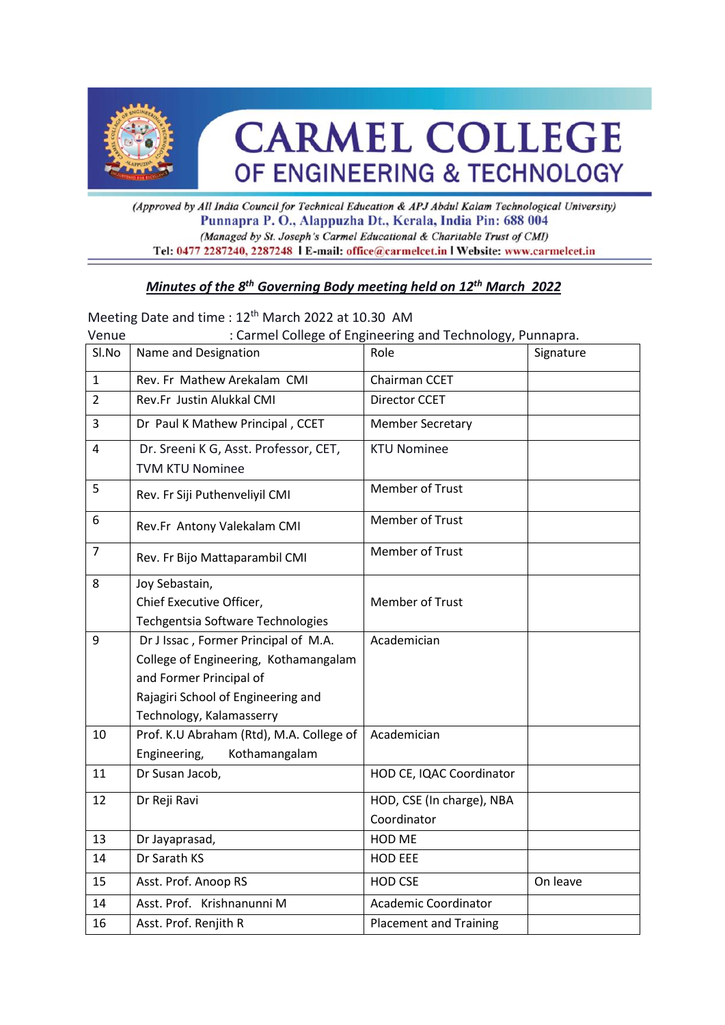

# **CARMEL COLLEGE** OF ENGINEERING & TECHNOLOGY

(Approved by All India Council for Technical Education & APJ Abdul Kalam Technological University) Punnapra P. O., Alappuzha Dt., Kerala, India Pin: 688 004 (Managed by St. Joseph's Carmel Educational & Charitable Trust of CMI) Tel: 0477 2287240, 2287248 | E-mail: office@carmelcet.in | Website: www.carmelcet.in

## *Minutes of the 8 th Governing Body meeting held on 12 th March 2022*

|                | Meeting Date and time : 12 <sup>th</sup> March 2022 at 10.30 AM                                                                                                            |                                                           |           |
|----------------|----------------------------------------------------------------------------------------------------------------------------------------------------------------------------|-----------------------------------------------------------|-----------|
| Venue          |                                                                                                                                                                            | : Carmel College of Engineering and Technology, Punnapra. |           |
| Sl.No          | Name and Designation                                                                                                                                                       | Role                                                      | Signature |
| $\mathbf{1}$   | Rev. Fr Mathew Arekalam CMI                                                                                                                                                | Chairman CCET                                             |           |
| 2              | Rev.Fr Justin Alukkal CMI                                                                                                                                                  | <b>Director CCET</b>                                      |           |
| 3              | Dr Paul K Mathew Principal, CCET                                                                                                                                           | <b>Member Secretary</b>                                   |           |
| 4              | Dr. Sreeni K G, Asst. Professor, CET,<br><b>TVM KTU Nominee</b>                                                                                                            | <b>KTU Nominee</b>                                        |           |
| 5              | Rev. Fr Siji Puthenveliyil CMI                                                                                                                                             | Member of Trust                                           |           |
| 6              | Rev.Fr Antony Valekalam CMI                                                                                                                                                | Member of Trust                                           |           |
| $\overline{7}$ | Rev. Fr Bijo Mattaparambil CMI                                                                                                                                             | Member of Trust                                           |           |
| 8              | Joy Sebastain,<br>Chief Executive Officer,<br>Techgentsia Software Technologies                                                                                            | Member of Trust                                           |           |
| 9              | Dr J Issac, Former Principal of M.A.<br>College of Engineering, Kothamangalam<br>and Former Principal of<br>Rajagiri School of Engineering and<br>Technology, Kalamasserry | Academician                                               |           |
| 10             | Prof. K.U Abraham (Rtd), M.A. College of<br>Kothamangalam<br>Engineering,                                                                                                  | Academician                                               |           |
| 11             | Dr Susan Jacob,                                                                                                                                                            | HOD CE, IQAC Coordinator                                  |           |
| 12             | Dr Reji Ravi                                                                                                                                                               | HOD, CSE (In charge), NBA<br>Coordinator                  |           |
| 13             | Dr Jayaprasad,                                                                                                                                                             | HOD ME                                                    |           |
| 14             | Dr Sarath KS                                                                                                                                                               | <b>HOD EEE</b>                                            |           |
| 15             | Asst. Prof. Anoop RS                                                                                                                                                       | <b>HOD CSE</b>                                            | On leave  |
| 14             | Asst. Prof. Krishnanunni M                                                                                                                                                 | <b>Academic Coordinator</b>                               |           |
| 16             | Asst. Prof. Renjith R                                                                                                                                                      | <b>Placement and Training</b>                             |           |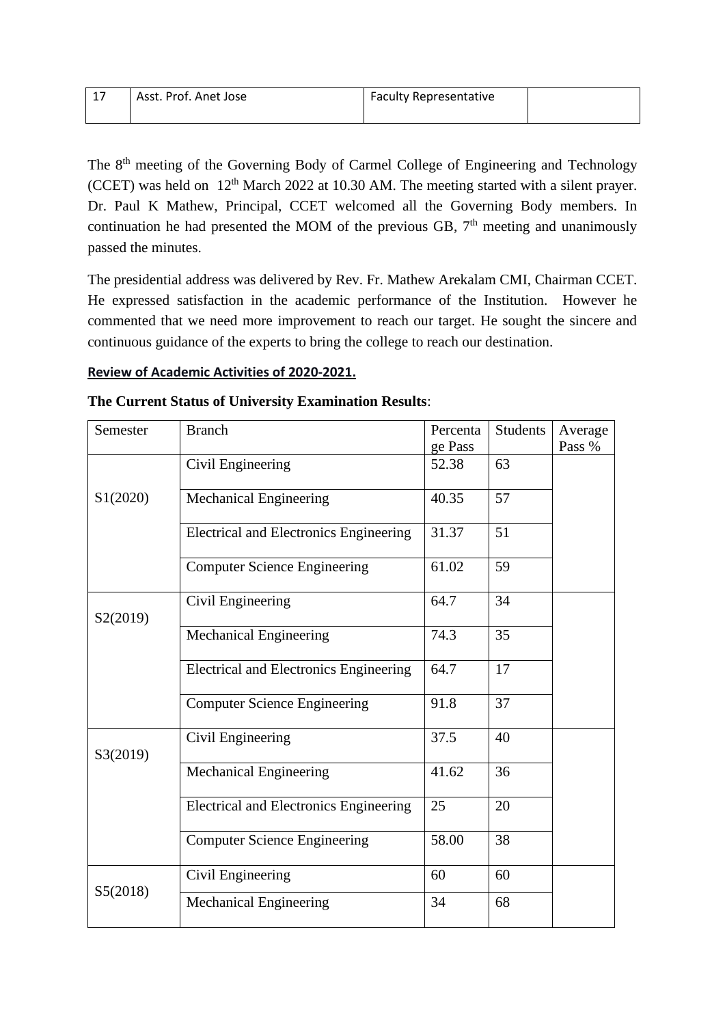| -17 | Asst. Prof. Anet Jose | <b>Faculty Representative</b> |  |
|-----|-----------------------|-------------------------------|--|
|     |                       |                               |  |

The 8<sup>th</sup> meeting of the Governing Body of Carmel College of Engineering and Technology (CCET) was held on  $12<sup>th</sup>$  March 2022 at 10.30 AM. The meeting started with a silent prayer. Dr. Paul K Mathew, Principal, CCET welcomed all the Governing Body members. In continuation he had presented the MOM of the previous GB,  $7<sup>th</sup>$  meeting and unanimously passed the minutes.

The presidential address was delivered by Rev. Fr. Mathew Arekalam CMI, Chairman CCET. He expressed satisfaction in the academic performance of the Institution. However he commented that we need more improvement to reach our target. He sought the sincere and continuous guidance of the experts to bring the college to reach our destination.

#### **Review of Academic Activities of 2020-2021.**

|  |  | The Current Status of University Examination Results: |  |
|--|--|-------------------------------------------------------|--|
|  |  |                                                       |  |

| Semester | <b>Branch</b>                                 | Percenta<br>ge Pass | <b>Students</b> | Average<br>Pass % |
|----------|-----------------------------------------------|---------------------|-----------------|-------------------|
|          | Civil Engineering                             | 52.38               | 63              |                   |
| S1(2020) | <b>Mechanical Engineering</b>                 | 40.35               | 57              |                   |
|          | Electrical and Electronics Engineering        | 31.37               | 51              |                   |
|          | <b>Computer Science Engineering</b>           | 61.02               | 59              |                   |
| S2(2019) | Civil Engineering                             | 64.7                | 34              |                   |
|          | <b>Mechanical Engineering</b>                 | 74.3                | 35              |                   |
|          | <b>Electrical and Electronics Engineering</b> | 64.7                | 17              |                   |
|          | <b>Computer Science Engineering</b>           | 91.8                | 37              |                   |
| S3(2019) | Civil Engineering                             | 37.5                | 40              |                   |
|          | <b>Mechanical Engineering</b>                 | 41.62               | 36              |                   |
|          | <b>Electrical and Electronics Engineering</b> | 25                  | 20              |                   |
|          | <b>Computer Science Engineering</b>           | 58.00               | 38              |                   |
|          | Civil Engineering                             | 60                  | 60              |                   |
| S5(2018) | Mechanical Engineering                        | 34                  | 68              |                   |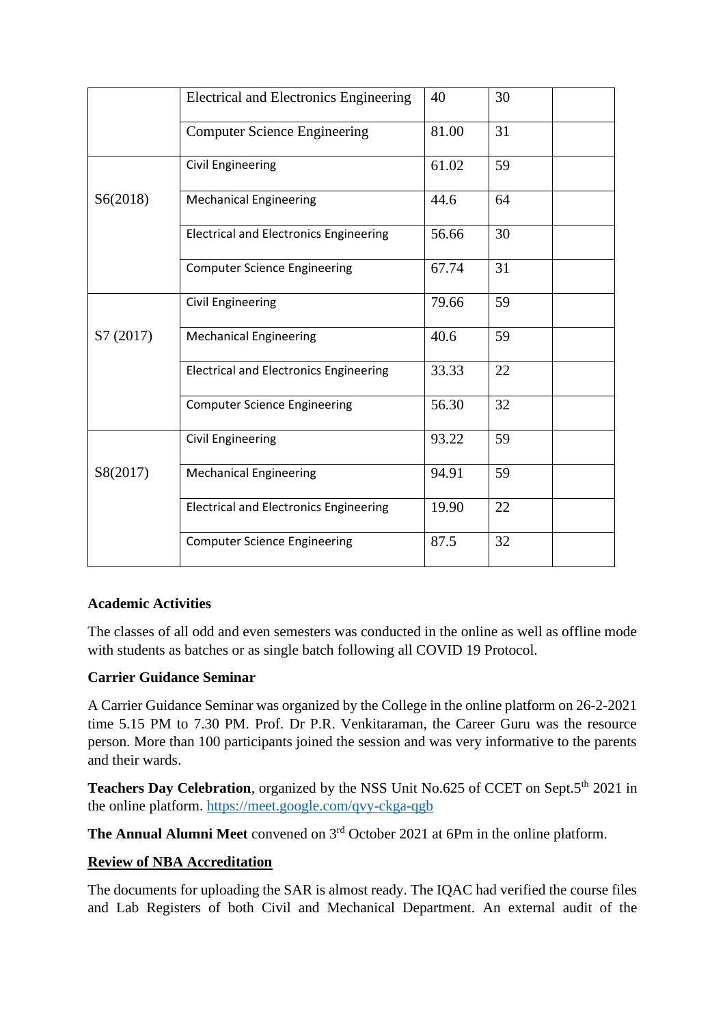|           | <b>Electrical and Electronics Engineering</b> | 40    | 30 |
|-----------|-----------------------------------------------|-------|----|
|           | <b>Computer Science Engineering</b>           | 81.00 | 31 |
|           | <b>Civil Engineering</b>                      | 61.02 | 59 |
| S6(2018)  | <b>Mechanical Engineering</b>                 | 44.6  | 64 |
|           | <b>Electrical and Electronics Engineering</b> | 56.66 | 30 |
|           | <b>Computer Science Engineering</b>           | 67.74 | 31 |
|           | <b>Civil Engineering</b>                      | 79.66 | 59 |
| S7 (2017) | <b>Mechanical Engineering</b>                 | 40.6  | 59 |
|           | <b>Electrical and Electronics Engineering</b> | 33.33 | 22 |
|           | <b>Computer Science Engineering</b>           | 56.30 | 32 |
|           | <b>Civil Engineering</b>                      | 93.22 | 59 |
| S8(2017)  | <b>Mechanical Engineering</b>                 | 94.91 | 59 |
|           | <b>Electrical and Electronics Engineering</b> | 19.90 | 22 |
|           | <b>Computer Science Engineering</b>           | 87.5  | 32 |

## **Academic Activities**

The classes of all odd and even semesters was conducted in the online as well as offline mode with students as batches or as single batch following all COVID 19 Protocol.

#### **Carrier Guidance Seminar**

A Carrier Guidance Seminar was organized by the College in the online platform on 26-2-2021 time 5.15 PM to 7.30 PM. Prof. Dr P.R. Venkitaraman, the Career Guru was the resource person. More than 100 participants joined the session and was very informative to the parents and their wards.

**Teachers Day Celebration**, organized by the NSS Unit No.625 of CCET on Sept.5<sup>th</sup> 2021 in the online platform.<https://meet.google.com/qvy-ckga-qgb>

**The Annual Alumni Meet** convened on 3rd October 2021 at 6Pm in the online platform.

#### **Review of NBA Accreditation**

The documents for uploading the SAR is almost ready. The IQAC had verified the course files and Lab Registers of both Civil and Mechanical Department. An external audit of the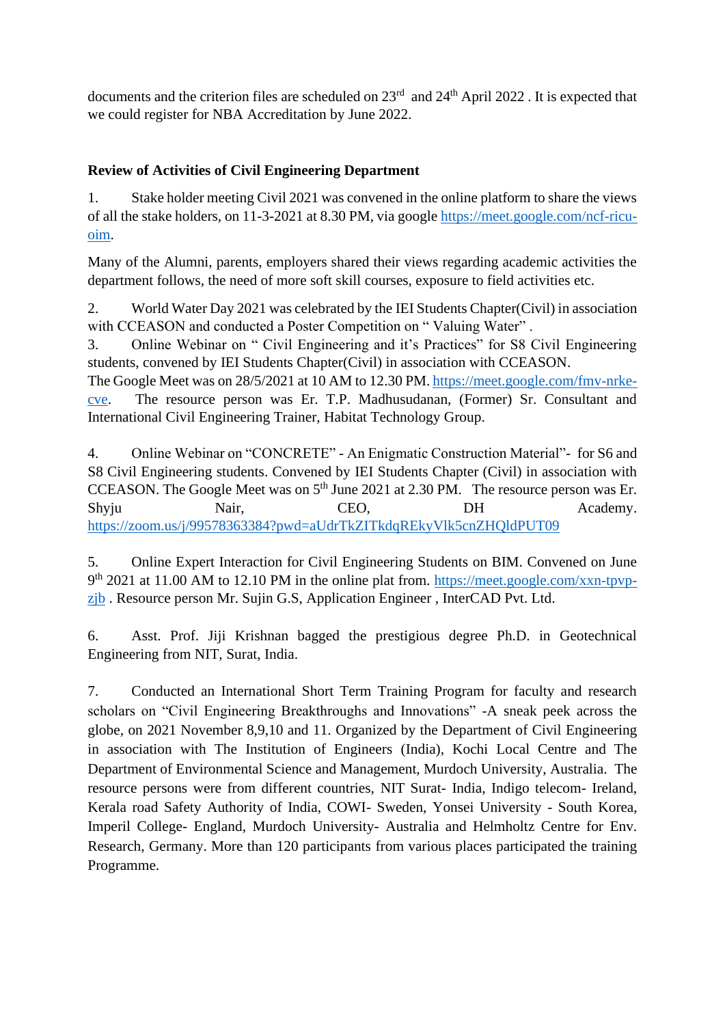documents and the criterion files are scheduled on  $23<sup>rd</sup>$  and  $24<sup>th</sup>$  April 2022. It is expected that we could register for NBA Accreditation by June 2022.

## **Review of Activities of Civil Engineering Department**

1. Stake holder meeting Civil 2021 was convened in the online platform to share the views of all the stake holders, on 11-3-2021 at 8.30 PM, via google [https://meet.google.com/ncf-ricu](https://meet.google.com/ncf-ricu-oim)[oim.](https://meet.google.com/ncf-ricu-oim)

Many of the Alumni, parents, employers shared their views regarding academic activities the department follows, the need of more soft skill courses, exposure to field activities etc.

2. World Water Day 2021 was celebrated by the IEI Students Chapter(Civil) in association with CCEASON and conducted a Poster Competition on "Valuing Water".

3. Online Webinar on " Civil Engineering and it's Practices" for S8 Civil Engineering students, convened by IEI Students Chapter(Civil) in association with CCEASON.

The Google Meet was on 28/5/2021 at 10 AM to 12.30 PM. [https://meet.google.com/fmv-nrke](https://meet.google.com/fmv-nrke-cve)[cve.](https://meet.google.com/fmv-nrke-cve) The resource person was Er. T.P. Madhusudanan, (Former) Sr. Consultant and International Civil Engineering Trainer, Habitat Technology Group.

4. Online Webinar on "CONCRETE" - An Enigmatic Construction Material"- for S6 and S8 Civil Engineering students. Convened by IEI Students Chapter (Civil) in association with CCEASON. The Google Meet was on  $5<sup>th</sup>$  June 2021 at 2.30 PM. The resource person was Er. Shyju Nair, CEO, DH Academy. <https://zoom.us/j/99578363384?pwd=aUdrTkZITkdqREkyVlk5cnZHQldPUT09>

5. Online Expert Interaction for Civil Engineering Students on BIM. Convened on June 9<sup>th</sup> 2021 at 11.00 AM to 12.10 PM in the online plat from. [https://meet.google.com/xxn-tpvp](https://meet.google.com/xxn-tpvp-zjb)[zjb](https://meet.google.com/xxn-tpvp-zjb) . Resource person Mr. Sujin G.S, Application Engineer , InterCAD Pvt. Ltd.

6. Asst. Prof. Jiji Krishnan bagged the prestigious degree Ph.D. in Geotechnical Engineering from NIT, Surat, India.

7. Conducted an International Short Term Training Program for faculty and research scholars on "Civil Engineering Breakthroughs and Innovations" -A sneak peek across the globe, on 2021 November 8,9,10 and 11. Organized by the Department of Civil Engineering in association with The Institution of Engineers (India), Kochi Local Centre and The Department of Environmental Science and Management, Murdoch University, Australia. The resource persons were from different countries, NIT Surat- India, Indigo telecom- Ireland, Kerala road Safety Authority of India, COWI- Sweden, Yonsei University - South Korea, Imperil College- England, Murdoch University- Australia and Helmholtz Centre for Env. Research, Germany. More than 120 participants from various places participated the training Programme.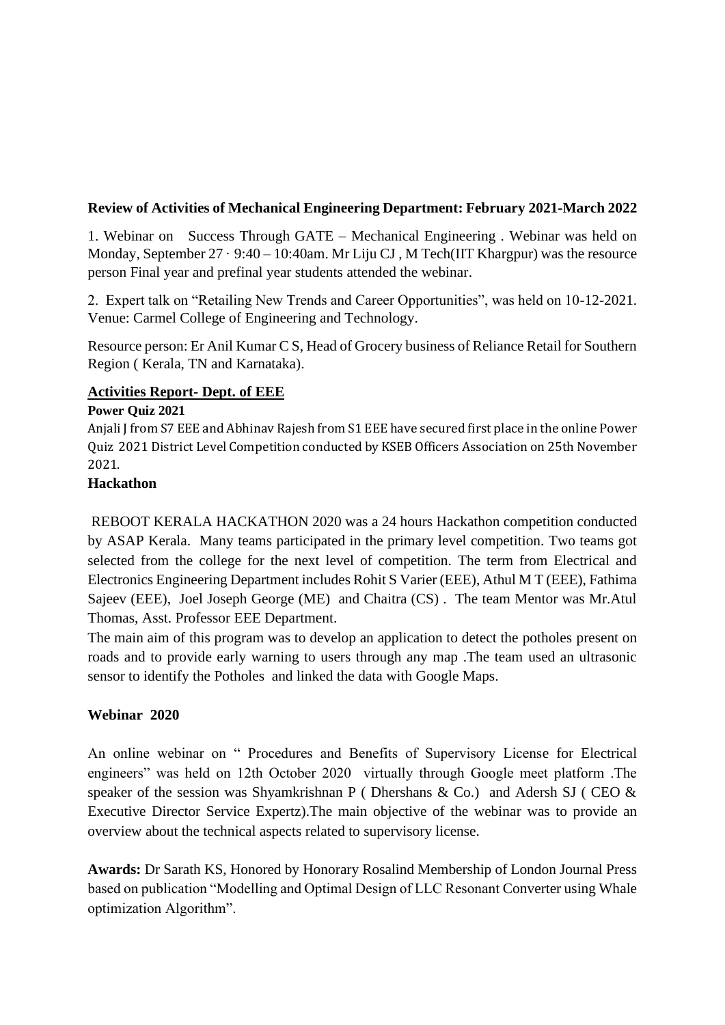## **Review of Activities of Mechanical Engineering Department: February 2021-March 2022**

1. Webinar on Success Through GATE – Mechanical Engineering . Webinar was held on Monday, September 27 · 9:40 – 10:40am. Mr Liju CJ, M Tech(IIT Khargpur) was the resource person Final year and prefinal year students attended the webinar.

2. Expert talk on "Retailing New Trends and Career Opportunities", was held on 10-12-2021. Venue: Carmel College of Engineering and Technology.

Resource person: Er Anil Kumar C S, Head of Grocery business of Reliance Retail for Southern Region ( Kerala, TN and Karnataka).

## **Activities Report- Dept. of EEE**

#### **Power Quiz 2021**

Anjali J from S7 EEE and Abhinav Rajesh from S1 EEE have secured first place in the online Power Quiz 2021 District Level Competition conducted by KSEB Officers Association on 25th November 2021.

## **Hackathon**

REBOOT KERALA HACKATHON 2020 was a 24 hours Hackathon competition conducted by ASAP Kerala. Many teams participated in the primary level competition. Two teams got selected from the college for the next level of competition. The term from Electrical and Electronics Engineering Department includes Rohit S Varier (EEE), Athul M T (EEE), Fathima Sajeev (EEE), Joel Joseph George (ME) and Chaitra (CS) . The team Mentor was Mr.Atul Thomas, Asst. Professor EEE Department.

The main aim of this program was to develop an application to detect the potholes present on roads and to provide early warning to users through any map .The team used an ultrasonic sensor to identify the Potholes and linked the data with Google Maps.

## **Webinar 2020**

An online webinar on " Procedures and Benefits of Supervisory License for Electrical engineers" was held on 12th October 2020 virtually through Google meet platform .The speaker of the session was Shyamkrishnan P (Dhershans & Co.) and Adersh SJ (CEO  $\&$ Executive Director Service Expertz).The main objective of the webinar was to provide an overview about the technical aspects related to supervisory license.

**Awards:** Dr Sarath KS, Honored by Honorary Rosalind Membership of London Journal Press based on publication "Modelling and Optimal Design of LLC Resonant Converter using Whale optimization Algorithm".